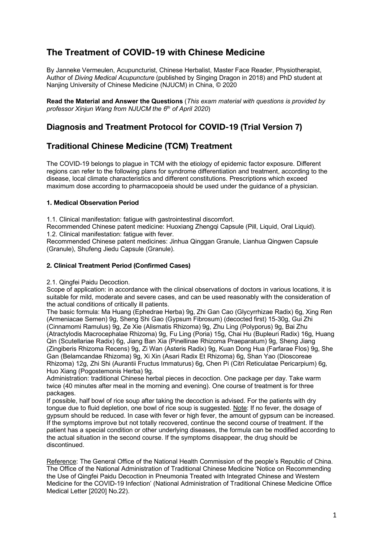# **The Treatment of COVID-19 with Chinese Medicine**

By Janneke Vermeulen, Acupuncturist, Chinese Herbalist, Master Face Reader, Physiotherapist, Author of *Diving Medical Acupuncture* (published by Singing Dragon in 2018) and PhD student at Nanjing University of Chinese Medicine (NJUCM) in China, © 2020

**Read the Material and Answer the Questions** (*This exam material with questions is provided by professor Xinjun Wang from NJUCM the 6th of April 2020*)

# **Diagnosis and Treatment Protocol for COVID-19 (Trial Version 7)**

# **Traditional Chinese Medicine (TCM) Treatment**

The COVID-19 belongs to plague in TCM with the etiology of epidemic factor exposure. Different regions can refer to the following plans for syndrome differentiation and treatment, according to the disease, local climate characteristics and different constitutions. Prescriptions which exceed maximum dose according to pharmacopoeia should be used under the guidance of a physician.

# **1. Medical Observation Period**

1.1. Clinical manifestation: fatigue with gastrointestinal discomfort.

Recommended Chinese patent medicine: Huoxiang Zhengqi Capsule (Pill, Liquid, Oral Liquid). 1.2. Clinical manifestation: fatigue with fever.

Recommended Chinese patent medicines: Jinhua Qinggan Granule, Lianhua Qingwen Capsule (Granule), Shufeng Jiedu Capsule (Granule).

# **2. Clinical Treatment Period (Confirmed Cases)**

2.1. Qingfei Paidu Decoction.

Scope of application: in accordance with the clinical observations of doctors in various locations, it is suitable for mild, moderate and severe cases, and can be used reasonably with the consideration of the actual conditions of critically ill patients.

The basic formula: Ma Huang (Ephedrae Herba) 9g, Zhi Gan Cao (Glycyrrhizae Radix) 6g, Xing Ren (Armeniacae Semen) 9g, Sheng Shi Gao (Gypsum Fibrosum) (decocted first) 15-30g, Gui Zhi (Cinnamomi Ramulus) 9g, Ze Xie (Alismatis Rhizoma) 9g, Zhu Ling (Polyporus) 9g, Bai Zhu (Atractylodis Macrocephalae Rhizoma) 9g, Fu Ling (Poria) 15g, Chai Hu (Bupleuri Radix) 16g, Huang Qin (Scutellariae Radix) 6g, Jiang Ban Xia (Pinellinae Rhizoma Praeparatum) 9g, Sheng Jiang (Zingiberis Rhizoma Recens) 9g, Zi Wan (Asteris Radix) 9g, Kuan Dong Hua (Farfarae Flos) 9g, She Gan (Belamcandae Rhizoma) 9g, Xi Xin (Asari Radix Et Rhizoma) 6g, Shan Yao (Dioscoreae Rhizoma) 12g, Zhi Shi (Aurantii Fructus Immaturus) 6g, Chen Pi (Citri Reticulatae Pericarpium) 6g, Huo Xiang (Pogostemonis Herba) 9g.

Administration: traditional Chinese herbal pieces in decoction. One package per day. Take warm twice (40 minutes after meal in the morning and evening). One course of treatment is for three packages.

If possible, half bowl of rice soup after taking the decoction is advised. For the patients with dry tongue due to fluid depletion, one bowl of rice soup is suggested. Note: If no fever, the dosage of gypsum should be reduced. In case with fever or high fever, the amount of gypsum can be increased. If the symptoms improve but not totally recovered, continue the second course of treatment. If the patient has a special condition or other underlying diseases, the formula can be modified according to the actual situation in the second course. If the symptoms disappear, the drug should be discontinued.

Reference: The General Office of the National Health Commission of the people's Republic of China. The Office of the National Administration of Traditional Chinese Medicine 'Notice on Recommending the Use of Qingfei Paidu Decoction in Pneumonia Treated with Integrated Chinese and Western Medicine for the COVID-19 Infection' (National Administration of Traditional Chinese Medicine Office Medical Letter [2020] No.22).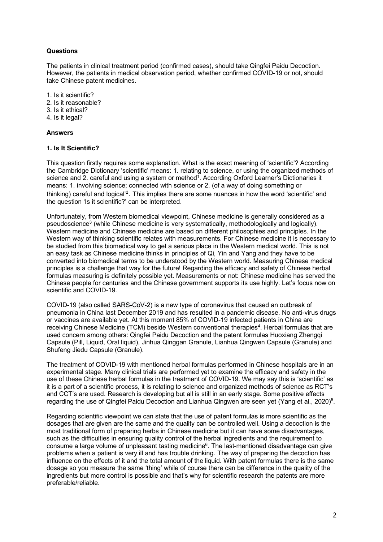# **Questions**

The patients in clinical treatment period (confirmed cases), should take Qingfei Paidu Decoction. However, the patients in medical observation period, whether confirmed COVID-19 or not, should take Chinese patent medicines.

- 1. Is it scientific?
- 2. Is it reasonable?
- 3. Is it ethical?
- 4. Is it legal?

#### **Answers**

#### **1. Is It Scientific?**

This question firstly requires some explanation. What is the exact meaning of 'scientific'? According the Cambridge Dictionary 'scientific' means: 1. relating to science, or using the organized methods of science and 2. careful and using a system or method<sup>1</sup>. According Oxford Learner's Dictionaries it means: 1. involving science; connected with science or 2. (of a way of doing something or thinking) careful and logical'<sup>2</sup>. This implies there are some nuances in how the word 'scientific' and the question 'Is it scientific?' can be interpreted.

Unfortunately, from Western biomedical viewpoint, Chinese medicine is generally considered as a pseudoscience3 (while Chinese medicine is very systematically, methodologically and logically). Western medicine and Chinese medicine are based on different philosophies and principles. In the Western way of thinking scientific relates with measurements. For Chinese medicine it is necessary to be studied from this biomedical way to get a serious place in the Western medical world. This is not an easy task as Chinese medicine thinks in principles of Qi, Yin and Yang and they have to be converted into biomedical terms to be understood by the Western world. Measuring Chinese medical principles is a challenge that way for the future! Regarding the efficacy and safety of Chinese herbal formulas measuring is definitely possible yet. Measurements or not: Chinese medicine has served the Chinese people for centuries and the Chinese government supports its use highly. Let's focus now on scientific and COVID-19.

COVID-19 (also called SARS-CoV-2) is a new type of coronavirus that caused an outbreak of pneumonia in China last December 2019 and has resulted in a pandemic disease. No anti-virus drugs or vaccines are available yet. At this moment 85% of COVID-19 infected patients in China are receiving Chinese Medicine (TCM) beside Western conventional therapies<sup>4</sup>. Herbal formulas that are used concern among others: Qingfei Paidu Decoction and the patent formulas Huoxiang Zhengqi Capsule (Pill, Liquid, Oral liquid), Jinhua Qinggan Granule, Lianhua Qingwen Capsule (Granule) and Shufeng Jiedu Capsule (Granule).

The treatment of COVID-19 with mentioned herbal formulas performed in Chinese hospitals are in an experimental stage. Many clinical trials are performed yet to examine the efficacy and safety in the use of these Chinese herbal formulas in the treatment of COVID-19. We may say this is 'scientific' as it is a part of a scientific process, it is relating to science and organized methods of science as RCT's and CCT's are used. Research is developing but all is still in an early stage. Some positive effects regarding the use of Qingfei Paidu Decoction and Lianhua Qingwen are seen yet (Yang et al., 2020)<sup>5</sup>.

Regarding scientific viewpoint we can state that the use of patent formulas is more scientific as the dosages that are given are the same and the quality can be controlled well. Using a decoction is the most traditional form of preparing herbs in Chinese medicine but it can have some disadvantages, such as the difficulties in ensuring quality control of the herbal ingredients and the requirement to consume a large volume of unpleasant tasting medicine6. The last-mentioned disadvantage can give problems when a patient is very ill and has trouble drinking. The way of preparing the decoction has influence on the effects of it and the total amount of the liquid. With patent formulas there is the same dosage so you measure the same 'thing' while of course there can be difference in the quality of the ingredients but more control is possible and that's why for scientific research the patents are more preferable/reliable.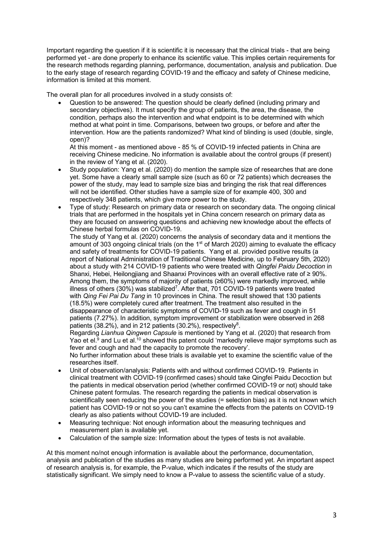Important regarding the question if it is scientific it is necessary that the clinical trials - that are being performed yet - are done properly to enhance its scientific value. This implies certain requirements for the research methods regarding planning, performance, documentation, analysis and publication. Due to the early stage of research regarding COVID-19 and the efficacy and safety of Chinese medicine, information is limited at this moment.

The overall plan for all procedures involved in a study consists of:

• Question to be answered: The question should be clearly defined (including primary and secondary objectives). It must specify the group of patients, the area, the disease, the condition, perhaps also the intervention and what endpoint is to be determined with which method at what point in time. Comparisons, between two groups, or before and after the intervention. How are the patients randomized? What kind of blinding is used (double, single, open)?

At this moment - as mentioned above - 85 % of COVID-19 infected patients in China are receiving Chinese medicine. No information is available about the control groups (if present) in the review of Yang et al. (2020).

- Study population: Yang et al. (2020) do mention the sample size of researches that are done yet. Some have a clearly small sample size (such as 60 or 72 patients) which decreases the power of the study, may lead to sample size bias and bringing the risk that real differences will not be identified. Other studies have a sample size of for example 400, 300 and respectively 348 patients, which give more power to the study.
- Type of study: Research on primary data or research on secondary data. The ongoing clinical trials that are performed in the hospitals yet in China concern research on primary data as they are focused on answering questions and achieving new knowledge about the effects of Chinese herbal formulas on COVID-19.

The study of Yang et al. (2020) concerns the analysis of secondary data and it mentions the amount of 303 ongoing clinical trials (on the  $1<sup>st</sup>$  of March 2020) aiming to evaluate the efficacy and safety of treatments for COVID-19 patients. Yang et al. provided positive results (a report of National Administration of Traditional Chinese Medicine, up to February 5th, 2020) about a study with 214 COVID-19 patients who were treated with *Qingfei Paidu Decoction* in Shanxi, Hebei, Heilongjiang and Shaanxi Provinces with an overall effective rate of ≥ 90%. Among them, the symptoms of majority of patients (≥60%) were markedly improved, while illness of others (30%) was stabilized<sup>7</sup>. After that, 701 COVID-19 patients were treated with *Qing Fei Pai Du Tang* in 10 provinces in China. The result showed that 130 patients (18.5%) were completely cured after treatment. The treatment also resulted in the disappearance of characteristic symptoms of COVID-19 such as fever and cough in 51 patients (7.27%). In addition, symptom improvement or stabilization were observed in 268 patients (38.2%), and in 212 patients (30.2%), respectively<sup>8</sup>.

Regarding *Lianhua Qingwen Capsule* is mentioned by Yang et al. (2020) that research from Yao et el. $9$  and Lu et al.<sup>10</sup> showed this patent could 'markedly relieve major symptoms such as fever and cough and had the capacity to promote the recovery'.

No further information about these trials is available yet to examine the scientific value of the researches itself.

- Unit of observation/analysis: Patients with and without confirmed COVID-19. Patients in clinical treatment with COVID-19 (confirmed cases) should take Qingfei Paidu Decoction but the patients in medical observation period (whether confirmed COVID-19 or not) should take Chinese patent formulas. The research regarding the patients in medical observation is scientifically seen reducing the power of the studies (= selection bias) as it is not known which patient has COVID-19 or not so you can't examine the effects from the patents on COVID-19 clearly as also patients without COVID-19 are included.
- Measuring technique: Not enough information about the measuring techniques and measurement plan is available yet.
- Calculation of the sample size: Information about the types of tests is not available.

At this moment no/not enough information is available about the performance, documentation, analysis and publication of the studies as many studies are being performed yet. An important aspect of research analysis is, for example, the P-value, which indicates if the results of the study are statistically significant. We simply need to know a P-value to assess the scientific value of a study.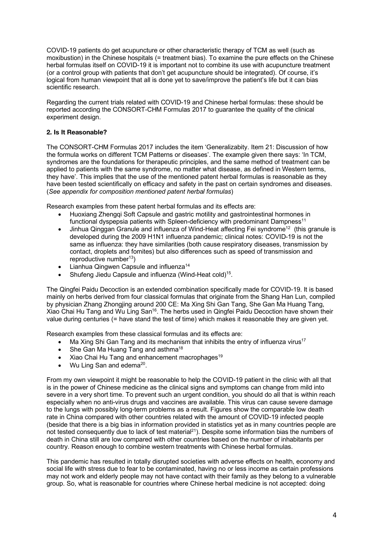COVID-19 patients do get acupuncture or other characteristic therapy of TCM as well (such as moxibustion) in the Chinese hospitals (= treatment bias). To examine the pure effects on the Chinese herbal formulas itself on COVID-19 it is important not to combine its use with acupuncture treatment (or a control group with patients that don't get acupuncture should be integrated). Of course, it's logical from human viewpoint that all is done yet to save/improve the patient's life but it can bias scientific research.

Regarding the current trials related with COVID-19 and Chinese herbal formulas: these should be reported according the CONSORT-CHM Formulas 2017 to guarantee the quality of the clinical experiment design.

### **2. Is It Reasonable?**

The CONSORT-CHM Formulas 2017 includes the item 'Generalizabity. Item 21: Discussion of how the formula works on different TCM Patterns or diseases'. The example given there says: 'In TCM, syndromes are the foundations for therapeutic principles, and the same method of treatment can be applied to patients with the same syndrome, no matter what disease, as defined in Western terms, they have'. This implies that the use of the mentioned patent herbal formulas is reasonable as they have been tested scientifically on efficacy and safety in the past on certain syndromes and diseases. (*See appendix for composition mentioned patent herbal formulas*)

Research examples from these patent herbal formulas and its effects are:

- Huoxiang Zhengqi Soft Capsule and gastric motility and gastrointestinal hormones in functional dyspepsia patients with Spleen-deficiency with predominant Dampness<sup>11</sup>
- Jinhua Qinggan Granule and influenza of Wind-Heat affecting Fei syndrome<sup>12</sup> (this granule is developed during the 2009 H1N1 influenza pandemic; clinical notes: COVID-19 is not the same as influenza: they have similarities (both cause respiratory diseases, transmission by contact, droplets and fomites) but also differences such as speed of transmission and reproductive number $^{13}$ )
- Lianhua Qingwen Capsule and influenza<sup>14</sup>
- Shufeng Jiedu Capsule and influenza (Wind-Heat cold)<sup>15</sup>.

The Qingfei Paidu Decoction is an extended combination specifically made for COVID-19. It is based mainly on herbs derived from four classical formulas that originate from the Shang Han Lun, compiled by physician Zhang Zhongjing around 200 CE: Ma Xing Shi Gan Tang, She Gan Ma Huang Tang, Xiao Chai Hu Tang and Wu Ling San<sup>16</sup>. The herbs used in Qingfei Paidu Decoction have shown their value during centuries (= have stand the test of time) which makes it reasonable they are given yet.

Research examples from these classical formulas and its effects are:

- Ma Xing Shi Gan Tang and its mechanism that inhibits the entry of influenza virus<sup>17</sup>
- She Gan Ma Huang Tang and asthma<sup>18</sup>
- Xiao Chai Hu Tang and enhancement macrophages<sup>19</sup>
- Wu Ling San and edema $^{20}$ .

From my own viewpoint it might be reasonable to help the COVID-19 patient in the clinic with all that is in the power of Chinese medicine as the clinical signs and symptoms can change from mild into severe in a very short time. To prevent such an urgent condition, you should do all that is within reach especially when no anti-virus drugs and vaccines are available. This virus can cause severe damage to the lungs with possibly long-term problems as a result. Figures show the comparable low death rate in China compared with other countries related with the amount of COVID-19 infected people (beside that there is a big bias in information provided in statistics yet as in many countries people are not tested consequently due to lack of test material<sup>21</sup>). Despite some information bias the numbers of death in China still are low compared with other countries based on the number of inhabitants per country. Reason enough to combine western treatments with Chinese herbal formulas.

This pandemic has resulted in totally disrupted societies with adverse effects on health, economy and social life with stress due to fear to be contaminated, having no or less income as certain professions may not work and elderly people may not have contact with their family as they belong to a vulnerable group. So, what is reasonable for countries where Chinese herbal medicine is not accepted: doing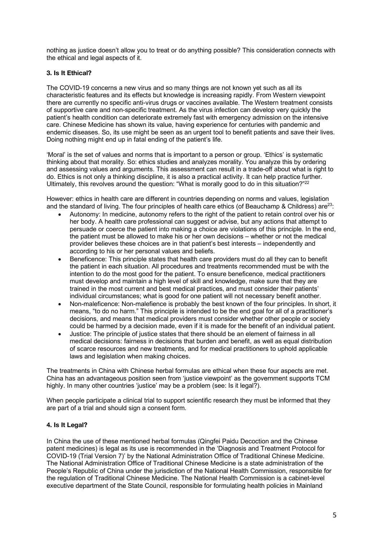nothing as justice doesn't allow you to treat or do anything possible? This consideration connects with the ethical and legal aspects of it.

# **3. Is It Ethical?**

The COVID-19 concerns a new virus and so many things are not known yet such as all its characteristic features and its effects but knowledge is increasing rapidly. From Western viewpoint there are currently no specific anti-virus drugs or vaccines available. The Western treatment consists of supportive care and non-specific treatment. As the virus infection can develop very quickly the patient's health condition can deteriorate extremely fast with emergency admission on the intensive care. Chinese Medicine has shown its value, having experience for centuries with pandemic and endemic diseases. So, its use might be seen as an urgent tool to benefit patients and save their lives. Doing nothing might end up in fatal ending of the patient's life.

'Moral' is the set of values and norms that is important to a person or group. 'Ethics' is systematic thinking about that morality. So: ethics studies and analyzes morality. You analyze this by ordering and assessing values and arguments. This assessment can result in a trade-off about what is right to do. Ethics is not only a thinking discipline, it is also a practical activity. It can help practice further. Ultimately, this revolves around the question: "What is morally good to do in this situation?"<sup>22</sup>

However: ethics in health care are different in countries depending on norms and values, legislation and the standard of living. The four principles of health care ethics (of Beauchamp & Childress) are<sup>23</sup>:

- Autonomy: In medicine, autonomy refers to the right of the patient to retain control over his or her body. A health care professional can suggest or advise, but any actions that attempt to persuade or coerce the patient into making a choice are violations of this principle. In the end, the patient must be allowed to make his or her own decisions – whether or not the medical provider believes these choices are in that patient's best interests – independently and according to his or her personal values and beliefs.
- Beneficence: This principle states that health care providers must do all they can to benefit the patient in each situation. All procedures and treatments recommended must be with the intention to do the most good for the patient. To ensure beneficence, medical practitioners must develop and maintain a high level of skill and knowledge, make sure that they are trained in the most current and best medical practices, and must consider their patients' individual circumstances; what is good for one patient will not necessary benefit another.
- Non-maleficence: Non-malefience is probably the best known of the four principles. In short, it means, "to do no harm." This principle is intended to be the end goal for all of a practitioner's decisions, and means that medical providers must consider whether other people or society could be harmed by a decision made, even if it is made for the benefit of an individual patient.
- Justice: The principle of justice states that there should be an element of fairness in all medical decisions: fairness in decisions that burden and benefit, as well as equal distribution of scarce resources and new treatments, and for medical practitioners to uphold applicable laws and legislation when making choices.

The treatments in China with Chinese herbal formulas are ethical when these four aspects are met. China has an advantageous position seen from 'justice viewpoint' as the government supports TCM highly. In many other countries 'justice' may be a problem (see: Is it legal?).

When people participate a clinical trial to support scientific research they must be informed that they are part of a trial and should sign a consent form.

### **4. Is It Legal?**

In China the use of these mentioned herbal formulas (Qingfei Paidu Decoction and the Chinese patent medicines) is legal as its use is recommended in the 'Diagnosis and Treatment Protocol for COVID-19 (Trial Version 7)' by the National Administration Office of Traditional Chinese Medicine. The National Administration Office of Traditional Chinese Medicine is a state administration of the People's Republic of China under the jurisdiction of the National Health Commission, responsible for the regulation of Traditional Chinese Medicine. The National Health Commission is a cabinet-level executive department of the State Council, responsible for formulating health policies in Mainland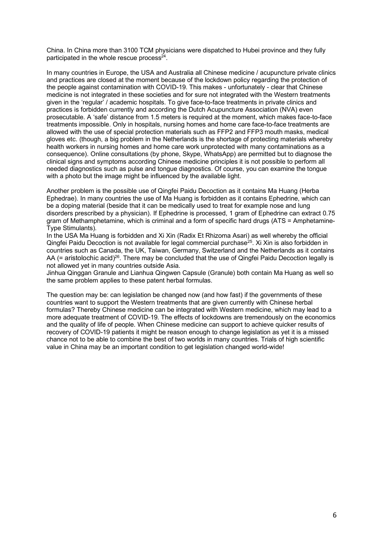China. In China more than 3100 TCM physicians were dispatched to Hubei province and they fully participated in the whole rescue process $24$ .

In many countries in Europe, the USA and Australia all Chinese medicine / acupuncture private clinics and practices are closed at the moment because of the lockdown policy regarding the protection of the people against contamination with COVID-19. This makes - unfortunately - clear that Chinese medicine is not integrated in these societies and for sure not integrated with the Western treatments given in the 'regular' / academic hospitals. To give face-to-face treatments in private clinics and practices is forbidden currently and according the Dutch Acupuncture Association (NVA) even prosecutable. A 'safe' distance from 1.5 meters is required at the moment, which makes face-to-face treatments impossible. Only in hospitals, nursing homes and home care face-to-face treatments are allowed with the use of special protection materials such as FFP2 and FFP3 mouth masks, medical gloves etc. (though, a big problem in the Netherlands is the shortage of protecting materials whereby health workers in nursing homes and home care work unprotected with many contaminations as a consequence). Online consultations (by phone, Skype, WhatsApp) are permitted but to diagnose the clinical signs and symptoms according Chinese medicine principles it is not possible to perform all needed diagnostics such as pulse and tongue diagnostics. Of course, you can examine the tongue with a photo but the image might be influenced by the available light.

Another problem is the possible use of Qingfei Paidu Decoction as it contains Ma Huang (Herba Ephedrae). In many countries the use of Ma Huang is forbidden as it contains Ephedrine, which can be a doping material (beside that it can be medically used to treat for example nose and lung disorders prescribed by a physician). If Ephedrine is processed, 1 gram of Ephedrine can extract 0.75 gram of Methamphetamine, which is criminal and a form of specific hard drugs (ATS = Amphetamine-Type Stimulants).

In the USA Ma Huang is forbidden and Xi Xin (Radix Et Rhizoma Asari) as well whereby the official Qingfei Paidu Decoction is not available for legal commercial purchase<sup>25</sup>. Xi Xin is also forbidden in countries such as Canada, the UK, Taiwan, Germany, Switzerland and the Netherlands as it contains AA (= aristolochic acid)<sup>26</sup>. There may be concluded that the use of Qingfei Paidu Decoction legally is not allowed yet in many countries outside Asia.

Jinhua Qinggan Granule and Lianhua Qingwen Capsule (Granule) both contain Ma Huang as well so the same problem applies to these patent herbal formulas.

The question may be: can legislation be changed now (and how fast) if the governments of these countries want to support the Western treatments that are given currently with Chinese herbal formulas? Thereby Chinese medicine can be integrated with Western medicine, which may lead to a more adequate treatment of COVID-19. The effects of lockdowns are tremendously on the economics and the quality of life of people. When Chinese medicine can support to achieve quicker results of recovery of COVID-19 patients it might be reason enough to change legislation as yet it is a missed chance not to be able to combine the best of two worlds in many countries. Trials of high scientific value in China may be an important condition to get legislation changed world-wide!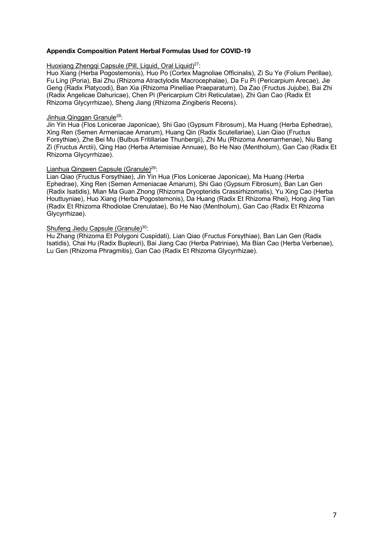### **Appendix Composition Patent Herbal Formulas Used for COVID-19**

#### Huoxiang Zhengqi Capsule (Pill, Liquid, Oral Liquid)<sup>27</sup>:

Huo Xiang (Herba Pogostemonis), Huo Po (Cortex Magnoliae Officinalis), Zi Su Ye (Folium Perillae), Fu Ling (Poria), Bai Zhu (Rhizoma Atractylodis Macrocephalae), Da Fu Pi (Pericarpium Arecae), Jie Geng (Radix Platycodi), Ban Xia (Rhizoma Pinelliae Praeparatum), Da Zao (Fructus Jujube), Bai Zhi (Radix Angelicae Dahuricae), Chen Pi (Pericarpium Citri Reticulatae), Zhi Gan Cao (Radix Et Rhizoma Glycyrrhizae), Sheng Jiang (Rhizoma Zingiberis Recens).

#### Jinhua Qinggan Granule28:

Jin Yin Hua (Flos Lonicerae Japonicae), Shi Gao (Gypsum Fibrosum), Ma Huang (Herba Ephedrae), Xing Ren (Semen Armeniacae Amarum), Huang Qin (Radix Scutellariae), Lian Qiao (Fructus Forsythiae), Zhe Bei Mu (Bulbus Fritillariae Thunbergii), Zhi Mu (Rhizoma Anemarrhenae), Niu Bang Zi (Fructus Arctii), Qing Hao (Herba Artemisiae Annuae), Bo He Nao (Mentholum), Gan Cao (Radix Et Rhizoma Glycyrrhizae).

#### Lianhua Qingwen Capsule (Granule)<sup>29</sup>:

Lian Qiao (Fructus Forsythiae), Jin Yin Hua (Flos Lonicerae Japonicae), Ma Huang (Herba Ephedrae), Xing Ren (Semen Armeniacae Amarum), Shi Gao (Gypsum Fibrosum), Ban Lan Gen (Radix Isatidis), Mian Ma Guan Zhong (Rhizoma Dryopteridis Crassirhizomatis), Yu Xing Cao (Herba Houttuyniae), Huo Xiang (Herba Pogostemonis), Da Huang (Radix Et Rhizoma Rhei), Hong Jing Tian (Radix Et Rhizoma Rhodiolae Crenulatae), Bo He Nao (Mentholum), Gan Cao (Radix Et Rhizoma Glycyrrhizae).

#### Shufeng Jiedu Capsule (Granule)<sup>30</sup>:

Hu Zhang (Rhizoma Et Polygoni Cuspidati), Lian Qiao (Fructus Forsythiae), Ban Lan Gen (Radix Isatidis), Chai Hu (Radix Bupleuri), Bai Jiang Cao (Herba Patriniae), Ma Bian Cao (Herba Verbenae), Lu Gen (Rhizoma Phragmitis), Gan Cao (Radix Et Rhizoma Glycyrrhizae).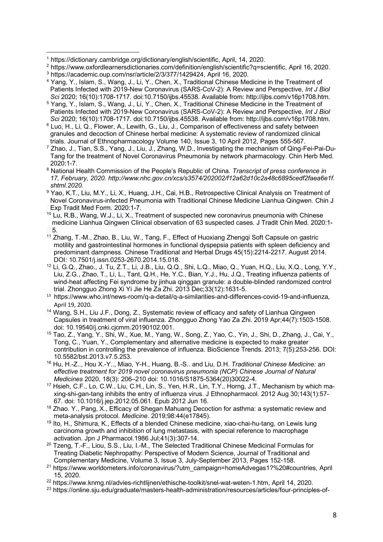- <sup>5</sup> Yang, Y., Islam, S., Wang, J., Li, Y., Chen, X., Traditional Chinese Medicine in the Treatment of Patients Infected with 2019-New Coronavirus (SARS-CoV-2): A Review and Perspective, *Int J Biol*
- *Sci* 2020; 16(10):1708-1717. doi:10.7150/ijbs.45538. Available from: http://ijbs.com/v16p1708.htm. 6 Luo, H., Li, Q., Flower, A., Lewith, G., Liu, J., Comparison of effectiveness and safety between
- granules and decoction of Chinese herbal medicine: A systematic review of randomized clinical trials. Journal of Ethnopharmacology Volume 140, Issue 3, 10 April 2012, Pages 555-567.
- <sup>7</sup> Zhao, J., Tian, S.S., Yang, J., Liu, J., Zhang, W.D., Investigating the mechanism of Qing-Fei-Pai-Du- Tang for the treatment of Novel Coronavirus Pneumonia by network pharmacology. Chin Herb Med. 2020:1-7.
- <sup>8</sup> National Health Commission of the People's Republic of China. *Transcript of press conference in 17, February, 2020. http://www.nhc.gov.cn/xcs/s3574/202002/f12a62d10c2a48c6895cedf2faea6e1f. shtml.2020.*
- <sup>9</sup> Yao, K.T., Liu, M.Y., Li, X., Huang, J.H., Cai, H.B., Retrospective Clinical Analysis on Treatment of Novel Coronavirus-infected Pneumonia with Traditional Chinese Medicine Lianhua Qingwen. Chin J Exp Tradit Med Form. 2020:1-7.
- <sup>10</sup> Lu, R.B., Wang, W.J., Li, X., Treatment of suspected new coronavirus pneumonia with Chinese medicine Lianhua Qingwen Clinical observation of 63 suspected cases. J Tradit Chin Med. 2020:1- 5.
- <sup>11</sup> Zhang, T.-M., Zhao, B., Liu, W., Tang, F., Effect of Huoxiang Zhenggi Soft Capsule on gastric motility and gastrointestinal hormones in functional dyspepsia patients with spleen deficiency and predominant dampness. Chinese Traditional and Herbal Drugs 45(15):2214-2217. August 2014. DOI: 10.7501/j.issn.0253-2670.2014.15.018.
- <sup>12</sup> Li, G.Q., Zhao., J. Tu, Z.T., Li, J.B., Liu, Q.Q., Shi, L.Q., Miao, Q., Yuan, H.Q., Liu, X.Q., Long, Y.Y., Liu, Z.G., Zhao, T., Li, L., Tant, Q.H., He, Y.C., Bian, Y.J., Hu, J.Q., Treating influenza patients of wind-heat affecting Fei syndrome by jinhua qinggan granule: a double-blinded randomized control trial. Zhongguo Zhong Xi Yi Jie He Za Zhi. 2013 Dec;33(12):1631-5.
- 13 https://www.who.int/news-room/q-a-detail/q-a-similarities-and-differences-covid-19-and-influenza, April 19, 2020.
- <sup>14</sup> Wang, S.H., Liu J.F., Dong, Z., Systematic review of efficacy and safety of Lianhua Qingwen Capsules in treatment of viral influenza. Zhongguo Zhong Yao Za Zhi. 2019 Apr;44(7):1503-1508. doi: 10.19540/j.cnki.cjcmm.20190102.001.
- <sup>15</sup> Tao, Z., Yang, Y., Shi, W., Xue, M., Yang, W., Song, Z., Yao, C., Yin, J., Shi, D., Zhang, J., Cai, Y., Tong, C., Yuan, Y., Complementary and alternative medicine is expected to make greater contribution in controlling the prevalence of influenza. BioScience Trends. 2013; 7(5):253-256. DOI: 10.5582/bst.2013.v7.5.253.
- <sup>16</sup> Hu, H.-Z.., Hou X.-Y.., Miao, Y-H., Huang, B.-S.. and Liu, D.H. *Traditional Chinese Medicine: an effective treatment for 2019 novel coronavirus pneumonia (NCP) Chinese Journal of Natural Medicines* 2020, 18(3): 206–210 doi: 10.1016/S1875-5364(20)30022-4.
- <sup>17</sup> Hsieh, C.F., Lo, C.W., Liu, C.H., Lin, S., Yen, H.R., Lin, T.Y., Horng, J.T., Mechanism by which ma xing-shi-gan-tang inhibits the entry of influenza virus. J Ethnopharmacol. 2012 Aug 30;143(1):57- 67. doi: 10.1016/j.jep.2012.05.061. Epub 2012 Jun 16.
- <sup>18</sup> Zhao. Y., Pang, X., Efficacy of Shegan Mahuang Decoction for asthma: a systematic review and meta-analysis protocol. *Medicine*. 2019;98:44(e17845).
- <sup>19</sup> Ito, H., Shimura, K., Effects of a blended Chinese medicine, xiao-chai-hu-tang, on Lewis lung carcinoma growth and inhibition of lung metastasis, with special reference to macrophage activation. Jpn J Pharmacol.1986 Jul;41(3):307-14.
- <sup>20</sup> Tzeng, T.-F., Liou, S.S., Liu, I.-M., The Selected Traditional Chinese Medicinal Formulas for Treating Diabetic Nephropathy: Perspective of Modern Science, Journal of Traditional and Complementary Medicine, Volume 3, Issue 3, July-September 2013, Pages 152-158.
- <sup>21</sup> https://www.worldometers.info/coronavirus/?utm\_campaign=homeAdvegas1?%20#countries, April 15, 2020.

<sup>1</sup> https://dictionary.cambridge.org/dictionary/english/scientific, April, 14, 2020.  $\overline{a}$ 

<sup>2</sup> https://www.oxfordlearnersdictionaries.com/definition/english/scientific?q=scientific, April 16, 2020. <sup>3</sup> https://academic.oup.com/nsr/article/2/3/377/1429424, April 16, 2020.

<sup>4</sup> Yang, Y., Islam, S., Wang, J., Li, Y., Chen, X., Traditional Chinese Medicine in the Treatment of Patients Infected with 2019-New Coronavirus (SARS-CoV-2): A Review and Perspective, *Int J Biol* 

<sup>&</sup>lt;sup>22</sup> https://www.knmg.nl/advies-richtlijnen/ethische-toolkit/snel-wat-weten-1.htm, April 14, 2020.

<sup>23</sup> https://online.sju.edu/graduate/masters-health-administration/resources/articles/four-principles-of-